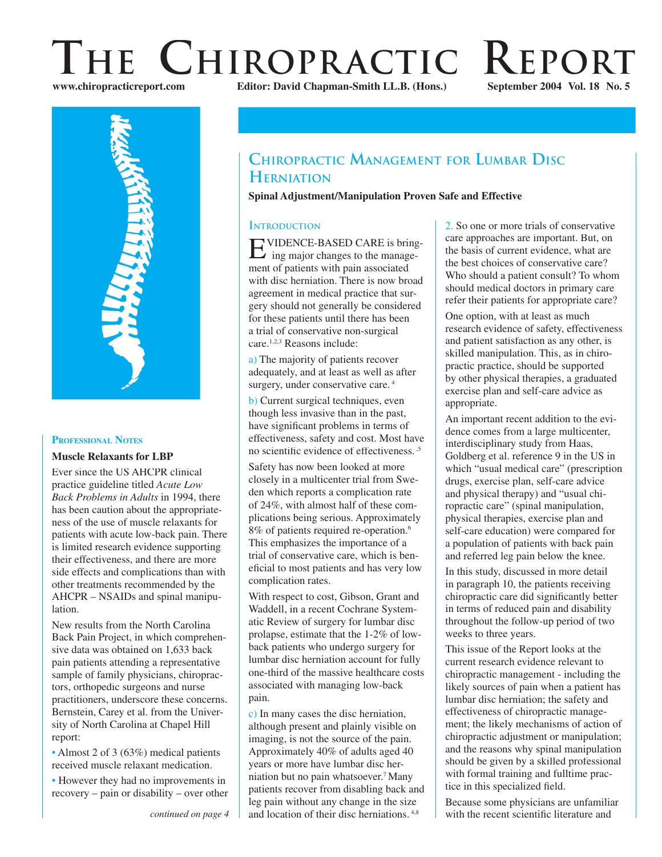# **THE CHIROPRACTIC REPORT**<br>WWW.chiropracticreport.com<br>Editor: David Chapman-Smith LL.B. (Hons.) September 2004 Vol. 18 No. 5 **Editor: David Chapman-Smith LL.B. (Hons.)**

**INTRODUCTION**

**HERNIATION**

care.1,2,3 Reasons include:

complication rates.

pain.

With respect to cost, Gibson, Grant and Waddell, in a recent Cochrane Systematic Review of surgery for lumbar disc prolapse, estimate that the 1-2% of lowback patients who undergo surgery for lumbar disc herniation account for fully one-third of the massive healthcare costs associated with managing low-back

c) In many cases the disc herniation, although present and plainly visible on imaging, is not the source of the pain. Approximately 40% of adults aged 40 years or more have lumbar disc herniation but no pain whatsoever.7 Many patients recover from disabling back and leg pain without any change in the size and location of their disc herniations. 4,8

a) The majority of patients recover adequately, and at least as well as after surgery, under conservative care.<sup>4</sup> b) Current surgical techniques, even though less invasive than in the past, have significant problems in terms of effectiveness, safety and cost. Most have no scientific evidence of effectiveness.  $5$ Safety has now been looked at more closely in a multicenter trial from Sweden which reports a complication rate of 24%, with almost half of these complications being serious. Approximately 8% of patients required re-operation.6 This emphasizes the importance of a trial of conservative care, which is beneficial to most patients and has very low

EVIDENCE-BASED CARE is bring- ing major changes to the management of patients with pain associated with disc herniation. There is now broad agreement in medical practice that surgery should not generally be considered for these patients until there has been a trial of conservative non-surgical

**CHIROPRACTIC MANAGEMENT FOR LUMBAR DISC**

**Spinal Adjustment/Manipulation Proven Safe and Effective**





#### **PROFESSIONAL NOTES**

#### **Muscle Relaxants for LBP**

Ever since the US AHCPR clinical practice guideline titled *Acute Low Back Problems in Adults* in 1994, there has been caution about the appropriateness of the use of muscle relaxants for patients with acute low-back pain. There is limited research evidence supporting their effectiveness, and there are more side effects and complications than with other treatments recommended by the AHCPR – NSAIDs and spinal manipulation.

New results from the North Carolina Back Pain Project, in which comprehensive data was obtained on 1,633 back pain patients attending a representative sample of family physicians, chiropractors, orthopedic surgeons and nurse practitioners, underscore these concerns. Bernstein, Carey et al. from the University of North Carolina at Chapel Hill report:

• Almost 2 of 3 (63%) medical patients received muscle relaxant medication.

• However they had no improvements in recovery – pain or disability – over other 2. So one or more trials of conservative care approaches are important. But, on the basis of current evidence, what are the best choices of conservative care? Who should a patient consult? To whom should medical doctors in primary care

One option, with at least as much research evidence of safety, effectiveness and patient satisfaction as any other, is skilled manipulation. This, as in chiropractic practice, should be supported by other physical therapies, a graduated exercise plan and self-care advice as appropriate.

refer their patients for appropriate care?

An important recent addition to the evidence comes from a large multicenter, interdisciplinary study from Haas, Goldberg et al. reference 9 in the US in which "usual medical care" (prescription drugs, exercise plan, self-care advice and physical therapy) and "usual chiropractic care" (spinal manipulation, physical therapies, exercise plan and self-care education) were compared for a population of patients with back pain and referred leg pain below the knee.

In this study, discussed in more detail in paragraph 10, the patients receiving chiropractic care did significantly better in terms of reduced pain and disability throughout the follow-up period of two weeks to three years.

This issue of the Report looks at the current research evidence relevant to chiropractic management - including the likely sources of pain when a patient has lumbar disc herniation; the safety and effectiveness of chiropractic management; the likely mechanisms of action of chiropractic adjustment or manipulation; and the reasons why spinal manipulation should be given by a skilled professional with formal training and fulltime practice in this specialized field.

Because some physicians are unfamiliar with the recent scientific literature and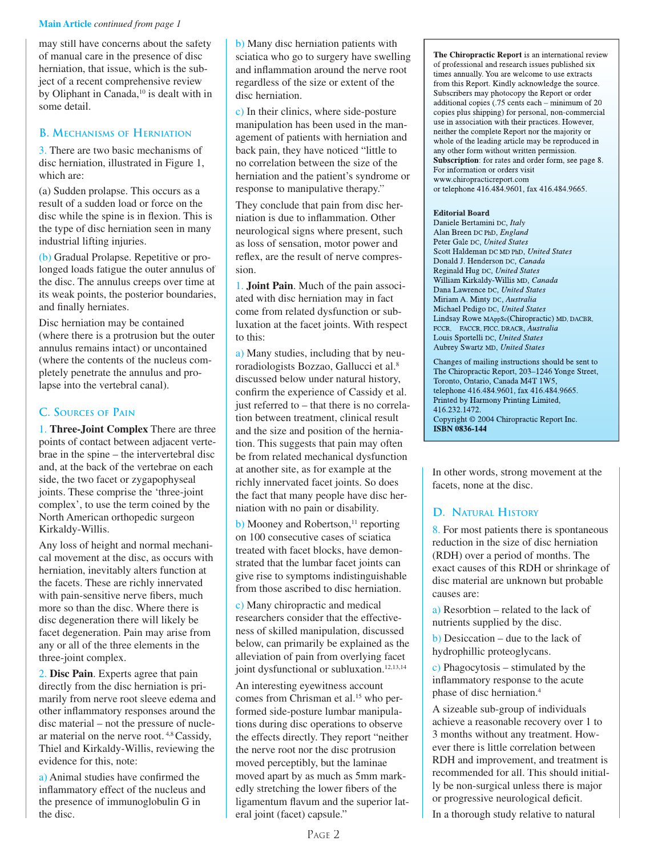#### **Main Article** *continued from page 1*

may still have concerns about the safety of manual care in the presence of disc herniation, that issue, which is the subject of a recent comprehensive review by Oliphant in Canada,<sup>10</sup> is dealt with in some detail.

### **B. MECHANISMS OF HERNIATION**

3. There are two basic mechanisms of disc herniation, illustrated in Figure 1, which are:

(a) Sudden prolapse. This occurs as a result of a sudden load or force on the disc while the spine is in flexion. This is the type of disc herniation seen in many industrial lifting injuries.

(b) Gradual Prolapse. Repetitive or prolonged loads fatigue the outer annulus of the disc. The annulus creeps over time at its weak points, the posterior boundaries, and finally herniates.

Disc herniation may be contained (where there is a protrusion but the outer annulus remains intact) or uncontained (where the contents of the nucleus completely penetrate the annulus and prolapse into the vertebral canal).

# **C. SOURCES OF PAIN**

1. **Three-Joint Complex** There are three points of contact between adjacent vertebrae in the spine – the intervertebral disc and, at the back of the vertebrae on each side, the two facet or zygapophyseal joints. These comprise the 'three-joint complex', to use the term coined by the North American orthopedic surgeon Kirkaldy-Willis.

Any loss of height and normal mechanical movement at the disc, as occurs with herniation, inevitably alters function at the facets. These are richly innervated with pain-sensitive nerve fibers, much more so than the disc. Where there is disc degeneration there will likely be facet degeneration. Pain may arise from any or all of the three elements in the three-joint complex.

2. **Disc Pain**. Experts agree that pain directly from the disc herniation is primarily from nerve root sleeve edema and other inflammatory responses around the disc material – not the pressure of nuclear material on the nerve root. 4,8 Cassidy, Thiel and Kirkaldy-Willis, reviewing the evidence for this, note:

a) Animal studies have confirmed the inflammatory effect of the nucleus and the presence of immunoglobulin G in the disc.

b) Many disc herniation patients with sciatica who go to surgery have swelling and inflammation around the nerve root regardless of the size or extent of the disc herniation.

c) In their clinics, where side-posture manipulation has been used in the management of patients with herniation and back pain, they have noticed "little to no correlation between the size of the herniation and the patient's syndrome or response to manipulative therapy."

They conclude that pain from disc herniation is due to inflammation. Other neurological signs where present, such as loss of sensation, motor power and reflex, are the result of nerve compression.

1. **Joint Pain**. Much of the pain associated with disc herniation may in fact come from related dysfunction or subluxation at the facet joints. With respect to this:

a) Many studies, including that by neuroradiologists Bozzao, Gallucci et al.<sup>8</sup> discussed below under natural history, confirm the experience of Cassidy et al. just referred to – that there is no correlation between treatment, clinical result and the size and position of the herniation. This suggests that pain may often be from related mechanical dysfunction at another site, as for example at the richly innervated facet joints. So does the fact that many people have disc herniation with no pain or disability.

 $\mathbf b$ ) Mooney and Robertson,<sup>11</sup> reporting on 100 consecutive cases of sciatica treated with facet blocks, have demonstrated that the lumbar facet joints can give rise to symptoms indistinguishable from those ascribed to disc herniation.

c) Many chiropractic and medical researchers consider that the effectiveness of skilled manipulation, discussed below, can primarily be explained as the alleviation of pain from overlying facet joint dysfunctional or subluxation.<sup>12,13,14</sup>

An interesting eyewitness account comes from Chrisman et al.<sup>15</sup> who performed side-posture lumbar manipulations during disc operations to observe the effects directly. They report "neither the nerve root nor the disc protrusion moved perceptibly, but the laminae moved apart by as much as 5mm markedly stretching the lower fibers of the ligamentum flavum and the superior lateral joint (facet) capsule."

**The Chiropractic Report** is an international review of professional and research issues published six times annually. You are welcome to use extracts from this Report. Kindly acknowledge the source. Subscribers may photocopy the Report or order additional copies (.75 cents each – minimum of 20 copies plus shipping) for personal, non-commercial use in association with their practices. However, neither the complete Report nor the majority or whole of the leading article may be reproduced in any other form without written permission. **Subscription**: for rates and order form, see page 8. For information or orders visit www.chiropracticreport.com or telephone 416.484.9601, fax 416.484.9665.

#### **Editorial Board**

Daniele Bertamini DC, *Italy* Alan Breen DC PhD, *England* Peter Gale DC, *United States* Scott Haldeman DC MD PhD, *United States* Donald J. Henderson DC, *Canada* Reginald Hug DC, *United States* William Kirkaldy-Willis MD, *Canada* Dana Lawrence DC, *United States* Miriam A. Minty DC, *Australia* Michael Pedigo DC, *United States* Lindsay Rowe MAppSc(Chiropractic) MD, DACBR, FCCR, FACCR, FICC, DRACR, *Australia* Louis Sportelli DC, *United States* Aubrey Swartz MD, *United States*

Changes of mailing instructions should be sent to The Chiropractic Report, 203–1246 Yonge Street, Toronto, Ontario, Canada M4T 1W5, telephone 416.484.9601, fax 416.484.9665. Printed by Harmony Printing Limited, 416.232.1472. Copyright © 2004 Chiropractic Report Inc. **ISBN 0836-144**

In other words, strong movement at the facets, none at the disc.

# **D. NATURAL HISTORY**

8. For most patients there is spontaneous reduction in the size of disc herniation (RDH) over a period of months. The exact causes of this RDH or shrinkage of disc material are unknown but probable causes are:

a) Resorbtion – related to the lack of nutrients supplied by the disc.

 $\mathbf b$ ) Desiccation – due to the lack of hydrophillic proteoglycans.

c) Phagocytosis – stimulated by the inflammatory response to the acute phase of disc herniation.4

A sizeable sub-group of individuals achieve a reasonable recovery over 1 to 3 months without any treatment. However there is little correlation between RDH and improvement, and treatment is recommended for all. This should initially be non-surgical unless there is major or progressive neurological deficit.

In a thorough study relative to natural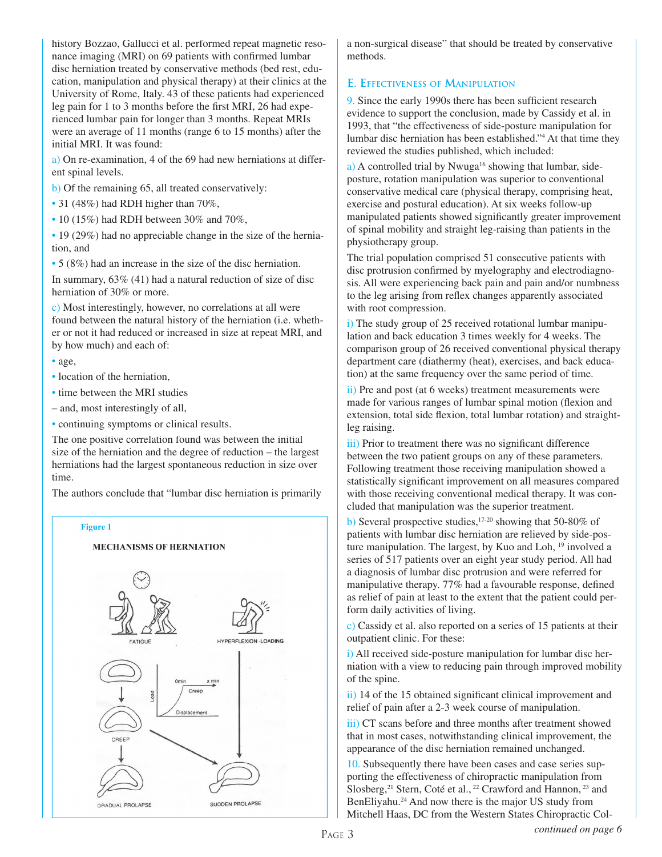history Bozzao, Gallucci et al. performed repeat magnetic resonance imaging (MRI) on 69 patients with confirmed lumbar disc herniation treated by conservative methods (bed rest, education, manipulation and physical therapy) at their clinics at the University of Rome, Italy. 43 of these patients had experienced leg pain for 1 to 3 months before the first MRI, 26 had experienced lumbar pain for longer than 3 months. Repeat MRIs were an average of 11 months (range 6 to 15 months) after the initial MRI. It was found:

a) On re-examination, 4 of the 69 had new herniations at different spinal levels.

b) Of the remaining 65, all treated conservatively:

- 31 (48%) had RDH higher than 70%,
- $\cdot$  10 (15%) had RDH between 30% and 70%,

• 19 (29%) had no appreciable change in the size of the herniation, and

• 5 (8%) had an increase in the size of the disc herniation.

In summary, 63% (41) had a natural reduction of size of disc herniation of 30% or more.

c) Most interestingly, however, no correlations at all were found between the natural history of the herniation (i.e. whether or not it had reduced or increased in size at repeat MRI, and by how much) and each of:

- age,
- location of the herniation,
- time between the MRI studies
- and, most interestingly of all,
- continuing symptoms or clinical results.

The one positive correlation found was between the initial size of the herniation and the degree of reduction – the largest herniations had the largest spontaneous reduction in size over time.

The authors conclude that "lumbar disc herniation is primarily



a non-surgical disease" that should be treated by conservative methods.

### **E. EFFECTIVENESS OF MANIPULATION**

9. Since the early 1990s there has been sufficient research evidence to support the conclusion, made by Cassidy et al. in 1993, that "the effectiveness of side-posture manipulation for lumbar disc herniation has been established."4 At that time they reviewed the studies published, which included:

a) A controlled trial by Nwuga<sup>16</sup> showing that lumbar, sideposture, rotation manipulation was superior to conventional conservative medical care (physical therapy, comprising heat, exercise and postural education). At six weeks follow-up manipulated patients showed significantly greater improvement of spinal mobility and straight leg-raising than patients in the physiotherapy group.

The trial population comprised 51 consecutive patients with disc protrusion confirmed by myelography and electrodiagnosis. All were experiencing back pain and pain and/or numbness to the leg arising from reflex changes apparently associated with root compression.

i) The study group of 25 received rotational lumbar manipulation and back education 3 times weekly for 4 weeks. The comparison group of 26 received conventional physical therapy department care (diathermy (heat), exercises, and back education) at the same frequency over the same period of time.

ii) Pre and post (at 6 weeks) treatment measurements were made for various ranges of lumbar spinal motion (flexion and extension, total side flexion, total lumbar rotation) and straightleg raising.

iii) Prior to treatment there was no significant difference between the two patient groups on any of these parameters. Following treatment those receiving manipulation showed a statistically significant improvement on all measures compared with those receiving conventional medical therapy. It was concluded that manipulation was the superior treatment.

b) Several prospective studies,  $17-20$  showing that 50-80% of patients with lumbar disc herniation are relieved by side-posture manipulation. The largest, by Kuo and Loh, <sup>19</sup> involved a series of 517 patients over an eight year study period. All had a diagnosis of lumbar disc protrusion and were referred for manipulative therapy. 77% had a favourable response, defined as relief of pain at least to the extent that the patient could perform daily activities of living.

c) Cassidy et al. also reported on a series of 15 patients at their outpatient clinic. For these:

i) All received side-posture manipulation for lumbar disc herniation with a view to reducing pain through improved mobility of the spine.

ii) 14 of the 15 obtained significant clinical improvement and relief of pain after a 2-3 week course of manipulation.

iii) CT scans before and three months after treatment showed that in most cases, notwithstanding clinical improvement, the appearance of the disc herniation remained unchanged.

10. Subsequently there have been cases and case series supporting the effectiveness of chiropractic manipulation from Slosberg,<sup>21</sup> Stern, Coté et al., <sup>22</sup> Crawford and Hannon, <sup>23</sup> and BenEliyahu.<sup>24</sup> And now there is the major US study from Mitchell Haas, DC from the Western States Chiropractic Col-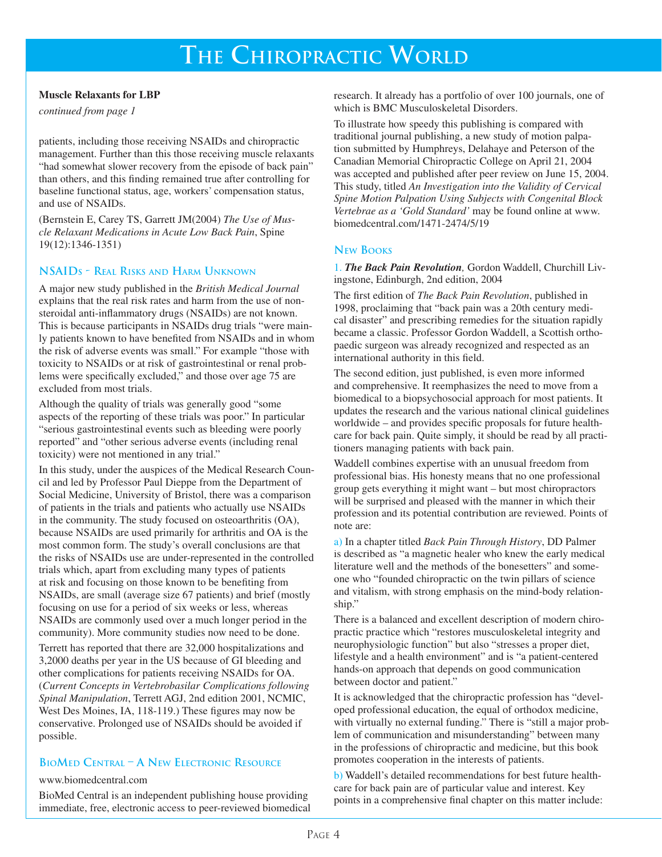# **THE CHIROPRACTIC WORLD**

#### **Muscle Relaxants for LBP**

*continued from page 1*

patients, including those receiving NSAIDs and chiropractic management. Further than this those receiving muscle relaxants "had somewhat slower recovery from the episode of back pain" than others, and this finding remained true after controlling for baseline functional status, age, workers' compensation status, and use of NSAIDs.

(Bernstein E, Carey TS, Garrett JM(2004) *The Use of Muscle Relaxant Medications in Acute Low Back Pain*, Spine 19(12):1346-1351)

### **NSAIDS - REAL RISKS AND HARM UNKNOWN**

A major new study published in the *British Medical Journal* explains that the real risk rates and harm from the use of nonsteroidal anti-inflammatory drugs (NSAIDs) are not known. This is because participants in NSAIDs drug trials "were mainly patients known to have benefited from NSAIDs and in whom the risk of adverse events was small." For example "those with toxicity to NSAIDs or at risk of gastrointestinal or renal problems were specifically excluded," and those over age 75 are excluded from most trials.

Although the quality of trials was generally good "some aspects of the reporting of these trials was poor." In particular "serious gastrointestinal events such as bleeding were poorly reported" and "other serious adverse events (including renal toxicity) were not mentioned in any trial."

In this study, under the auspices of the Medical Research Council and led by Professor Paul Dieppe from the Department of Social Medicine, University of Bristol, there was a comparison of patients in the trials and patients who actually use NSAIDs in the community. The study focused on osteoarthritis (OA), because NSAIDs are used primarily for arthritis and OA is the most common form. The study's overall conclusions are that the risks of NSAIDs use are under-represented in the controlled trials which, apart from excluding many types of patients at risk and focusing on those known to be benefiting from NSAIDs, are small (average size 67 patients) and brief (mostly focusing on use for a period of six weeks or less, whereas NSAIDs are commonly used over a much longer period in the community). More community studies now need to be done.

Terrett has reported that there are 32,000 hospitalizations and 3,2000 deaths per year in the US because of GI bleeding and other complications for patients receiving NSAIDs for OA. (*Current Concepts in Vertebrobasilar Complications following Spinal Manipulation*, Terrett AGJ, 2nd edition 2001, NCMIC, West Des Moines, IA, 118-119.) These figures may now be conservative. Prolonged use of NSAIDs should be avoided if possible.

# **BIOMED CENTRAL – A NEW ELECTRONIC RESOURCE**

#### www.biomedcentral.com

BioMed Central is an independent publishing house providing immediate, free, electronic access to peer-reviewed biomedical research. It already has a portfolio of over 100 journals, one of which is BMC Musculoskeletal Disorders.

To illustrate how speedy this publishing is compared with traditional journal publishing, a new study of motion palpation submitted by Humphreys, Delahaye and Peterson of the Canadian Memorial Chiropractic College on April 21, 2004 was accepted and published after peer review on June 15, 2004. This study, titled *An Investigation into the Validity of Cervical Spine Motion Palpation Using Subjects with Congenital Block Vertebrae as a 'Gold Standard'* may be found online at www. biomedcentral.com/1471-2474/5/19

#### **NEW BOOKS**

1. *The Back Pain Revolution,* Gordon Waddell, Churchill Livingstone, Edinburgh, 2nd edition, 2004

The first edition of *The Back Pain Revolution*, published in 1998, proclaiming that "back pain was a 20th century medical disaster" and prescribing remedies for the situation rapidly became a classic. Professor Gordon Waddell, a Scottish orthopaedic surgeon was already recognized and respected as an international authority in this field.

The second edition, just published, is even more informed and comprehensive. It reemphasizes the need to move from a biomedical to a biopsychosocial approach for most patients. It updates the research and the various national clinical guidelines worldwide – and provides specific proposals for future healthcare for back pain. Quite simply, it should be read by all practitioners managing patients with back pain.

Waddell combines expertise with an unusual freedom from professional bias. His honesty means that no one professional group gets everything it might want – but most chiropractors will be surprised and pleased with the manner in which their profession and its potential contribution are reviewed. Points of note are:

a) In a chapter titled *Back Pain Through History*, DD Palmer is described as "a magnetic healer who knew the early medical literature well and the methods of the bonesetters" and someone who "founded chiropractic on the twin pillars of science and vitalism, with strong emphasis on the mind-body relationship."

There is a balanced and excellent description of modern chiropractic practice which "restores musculoskeletal integrity and neurophysiologic function" but also "stresses a proper diet, lifestyle and a health environment" and is "a patient-centered hands-on approach that depends on good communication between doctor and patient."

It is acknowledged that the chiropractic profession has "developed professional education, the equal of orthodox medicine, with virtually no external funding." There is "still a major problem of communication and misunderstanding" between many in the professions of chiropractic and medicine, but this book promotes cooperation in the interests of patients.

b) Waddell's detailed recommendations for best future healthcare for back pain are of particular value and interest. Key points in a comprehensive final chapter on this matter include: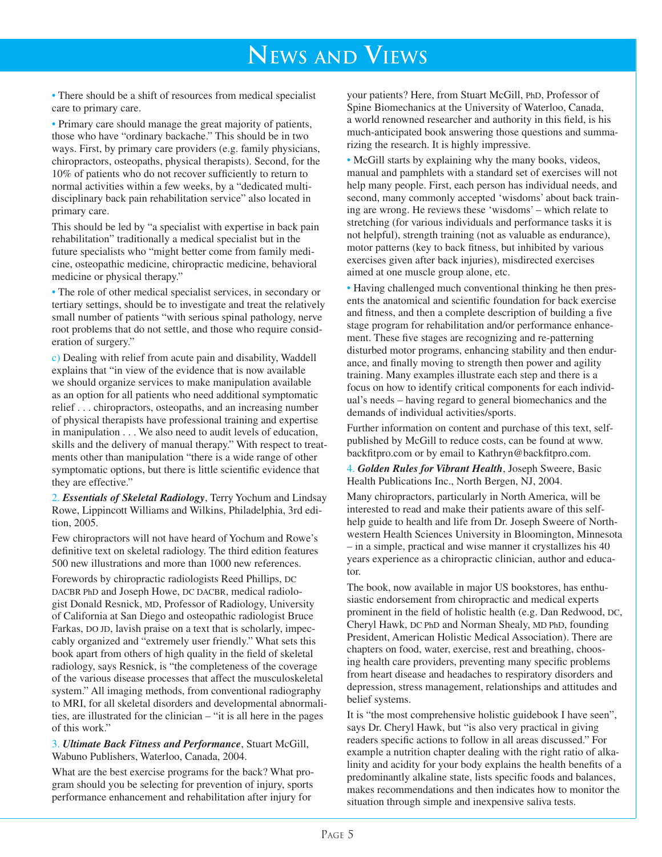# **NEWS AND VIEWS**

• There should be a shift of resources from medical specialist care to primary care.

• Primary care should manage the great majority of patients, those who have "ordinary backache." This should be in two ways. First, by primary care providers (e.g. family physicians, chiropractors, osteopaths, physical therapists). Second, for the 10% of patients who do not recover sufficiently to return to normal activities within a few weeks, by a "dedicated multidisciplinary back pain rehabilitation service" also located in primary care.

This should be led by "a specialist with expertise in back pain rehabilitation" traditionally a medical specialist but in the future specialists who "might better come from family medicine, osteopathic medicine, chiropractic medicine, behavioral medicine or physical therapy."

• The role of other medical specialist services, in secondary or tertiary settings, should be to investigate and treat the relatively small number of patients "with serious spinal pathology, nerve root problems that do not settle, and those who require consideration of surgery."

c) Dealing with relief from acute pain and disability, Waddell explains that "in view of the evidence that is now available we should organize services to make manipulation available as an option for all patients who need additional symptomatic relief . . . chiropractors, osteopaths, and an increasing number of physical therapists have professional training and expertise in manipulation . . . We also need to audit levels of education, skills and the delivery of manual therapy." With respect to treatments other than manipulation "there is a wide range of other symptomatic options, but there is little scientific evidence that they are effective."

2. *Essentials of Skeletal Radiology*, Terry Yochum and Lindsay Rowe, Lippincott Williams and Wilkins, Philadelphia, 3rd edition, 2005.

Few chiropractors will not have heard of Yochum and Rowe's definitive text on skeletal radiology. The third edition features 500 new illustrations and more than 1000 new references.

Forewords by chiropractic radiologists Reed Phillips, DC DACBR PhD and Joseph Howe, DC DACBR, medical radiologist Donald Resnick, MD, Professor of Radiology, University of California at San Diego and osteopathic radiologist Bruce Farkas, DO JD, lavish praise on a text that is scholarly, impeccably organized and "extremely user friendly." What sets this book apart from others of high quality in the field of skeletal radiology, says Resnick, is "the completeness of the coverage of the various disease processes that affect the musculoskeletal system." All imaging methods, from conventional radiography to MRI, for all skeletal disorders and developmental abnormalities, are illustrated for the clinician – "it is all here in the pages of this work."

3. *Ultimate Back Fitness and Performance*, Stuart McGill, Wabuno Publishers, Waterloo, Canada, 2004.

What are the best exercise programs for the back? What program should you be selecting for prevention of injury, sports performance enhancement and rehabilitation after injury for

your patients? Here, from Stuart McGill, PhD, Professor of Spine Biomechanics at the University of Waterloo, Canada, a world renowned researcher and authority in this field, is his much-anticipated book answering those questions and summarizing the research. It is highly impressive.

• McGill starts by explaining why the many books, videos, manual and pamphlets with a standard set of exercises will not help many people. First, each person has individual needs, and second, many commonly accepted 'wisdoms' about back training are wrong. He reviews these 'wisdoms' – which relate to stretching (for various individuals and performance tasks it is not helpful), strength training (not as valuable as endurance), motor patterns (key to back fitness, but inhibited by various exercises given after back injuries), misdirected exercises aimed at one muscle group alone, etc.

• Having challenged much conventional thinking he then presents the anatomical and scientific foundation for back exercise and fitness, and then a complete description of building a five stage program for rehabilitation and/or performance enhancement. These five stages are recognizing and re-patterning disturbed motor programs, enhancing stability and then endurance, and finally moving to strength then power and agility training. Many examples illustrate each step and there is a focus on how to identify critical components for each individual's needs – having regard to general biomechanics and the demands of individual activities/sports.

Further information on content and purchase of this text, selfpublished by McGill to reduce costs, can be found at www. backfitpro.com or by email to Kathryn@backfitpro.com.

4. *Golden Rules for Vibrant Health*, Joseph Sweere, Basic Health Publications Inc., North Bergen, NJ, 2004.

Many chiropractors, particularly in North America, will be interested to read and make their patients aware of this selfhelp guide to health and life from Dr. Joseph Sweere of Northwestern Health Sciences University in Bloomington, Minnesota – in a simple, practical and wise manner it crystallizes his 40 years experience as a chiropractic clinician, author and educator.

The book, now available in major US bookstores, has enthusiastic endorsement from chiropractic and medical experts prominent in the field of holistic health (e.g. Dan Redwood, DC, Cheryl Hawk, DC PhD and Norman Shealy, MD PhD, founding President, American Holistic Medical Association). There are chapters on food, water, exercise, rest and breathing, choosing health care providers, preventing many specific problems from heart disease and headaches to respiratory disorders and depression, stress management, relationships and attitudes and belief systems.

It is "the most comprehensive holistic guidebook I have seen", says Dr. Cheryl Hawk, but "is also very practical in giving readers specific actions to follow in all areas discussed." For example a nutrition chapter dealing with the right ratio of alkalinity and acidity for your body explains the health benefits of a predominantly alkaline state, lists specific foods and balances, makes recommendations and then indicates how to monitor the situation through simple and inexpensive saliva tests.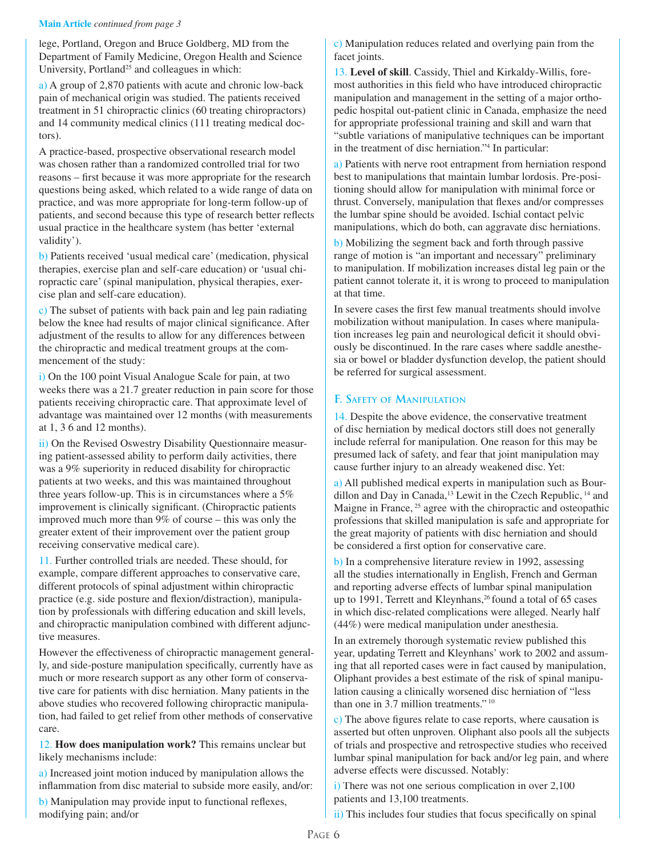#### **Main Article** *continued from page 3*

lege, Portland, Oregon and Bruce Goldberg, MD from the Department of Family Medicine, Oregon Health and Science University, Portland<sup>25</sup> and colleagues in which:

a) A group of 2,870 patients with acute and chronic low-back pain of mechanical origin was studied. The patients received treatment in 51 chiropractic clinics (60 treating chiropractors) and 14 community medical clinics (111 treating medical doctors).

A practice-based, prospective observational research model was chosen rather than a randomized controlled trial for two reasons – first because it was more appropriate for the research questions being asked, which related to a wide range of data on practice, and was more appropriate for long-term follow-up of patients, and second because this type of research better reflects usual practice in the healthcare system (has better 'external validity').

b) Patients received 'usual medical care' (medication, physical therapies, exercise plan and self-care education) or 'usual chiropractic care' (spinal manipulation, physical therapies, exercise plan and self-care education).

c) The subset of patients with back pain and leg pain radiating below the knee had results of major clinical significance. After adjustment of the results to allow for any differences between the chiropractic and medical treatment groups at the commencement of the study:

i) On the 100 point Visual Analogue Scale for pain, at two weeks there was a 21.7 greater reduction in pain score for those patients receiving chiropractic care. That approximate level of advantage was maintained over 12 months (with measurements at 1, 3 6 and 12 months).

ii) On the Revised Oswestry Disability Questionnaire measuring patient-assessed ability to perform daily activities, there was a 9% superiority in reduced disability for chiropractic patients at two weeks, and this was maintained throughout three years follow-up. This is in circumstances where a 5% improvement is clinically significant. (Chiropractic patients improved much more than 9% of course – this was only the greater extent of their improvement over the patient group receiving conservative medical care).

11. Further controlled trials are needed. These should, for example, compare different approaches to conservative care, different protocols of spinal adjustment within chiropractic practice (e.g. side posture and flexion/distraction), manipulation by professionals with differing education and skill levels, and chiropractic manipulation combined with different adjunctive measures.

However the effectiveness of chiropractic management generally, and side-posture manipulation specifically, currently have as much or more research support as any other form of conservative care for patients with disc herniation. Many patients in the above studies who recovered following chiropractic manipulation, had failed to get relief from other methods of conservative care.

12. **How does manipulation work?** This remains unclear but likely mechanisms include:

a) Increased joint motion induced by manipulation allows the inflammation from disc material to subside more easily, and/or:

b) Manipulation may provide input to functional reflexes, modifying pain; and/or

c) Manipulation reduces related and overlying pain from the facet joints.

13. **Level of skill**. Cassidy, Thiel and Kirkaldy-Willis, foremost authorities in this field who have introduced chiropractic manipulation and management in the setting of a major orthopedic hospital out-patient clinic in Canada, emphasize the need for appropriate professional training and skill and warn that "subtle variations of manipulative techniques can be important in the treatment of disc herniation."4 In particular:

a) Patients with nerve root entrapment from herniation respond best to manipulations that maintain lumbar lordosis. Pre-positioning should allow for manipulation with minimal force or thrust. Conversely, manipulation that flexes and/or compresses the lumbar spine should be avoided. Ischial contact pelvic manipulations, which do both, can aggravate disc herniations.

b) Mobilizing the segment back and forth through passive range of motion is "an important and necessary" preliminary to manipulation. If mobilization increases distal leg pain or the patient cannot tolerate it, it is wrong to proceed to manipulation at that time.

In severe cases the first few manual treatments should involve mobilization without manipulation. In cases where manipulation increases leg pain and neurological deficit it should obviously be discontinued. In the rare cases where saddle anesthesia or bowel or bladder dysfunction develop, the patient should be referred for surgical assessment.

### **F. SAFETY OF MANIPULATION**

14. Despite the above evidence, the conservative treatment of disc herniation by medical doctors still does not generally include referral for manipulation. One reason for this may be presumed lack of safety, and fear that joint manipulation may cause further injury to an already weakened disc. Yet:

a) All published medical experts in manipulation such as Bourdillon and Day in Canada,<sup>13</sup> Lewit in the Czech Republic, <sup>14</sup> and Maigne in France, <sup>25</sup> agree with the chiropractic and osteopathic professions that skilled manipulation is safe and appropriate for the great majority of patients with disc herniation and should be considered a first option for conservative care.

b) In a comprehensive literature review in 1992, assessing all the studies internationally in English, French and German and reporting adverse effects of lumbar spinal manipulation up to 1991, Terrett and Kleynhans,<sup>26</sup> found a total of 65 cases in which disc-related complications were alleged. Nearly half (44%) were medical manipulation under anesthesia.

In an extremely thorough systematic review published this year, updating Terrett and Kleynhans' work to 2002 and assuming that all reported cases were in fact caused by manipulation, Oliphant provides a best estimate of the risk of spinal manipulation causing a clinically worsened disc herniation of "less than one in 3.7 million treatments." 10

c) The above figures relate to case reports, where causation is asserted but often unproven. Oliphant also pools all the subjects of trials and prospective and retrospective studies who received lumbar spinal manipulation for back and/or leg pain, and where adverse effects were discussed. Notably:

i) There was not one serious complication in over 2,100 patients and 13,100 treatments.

ii) This includes four studies that focus specifically on spinal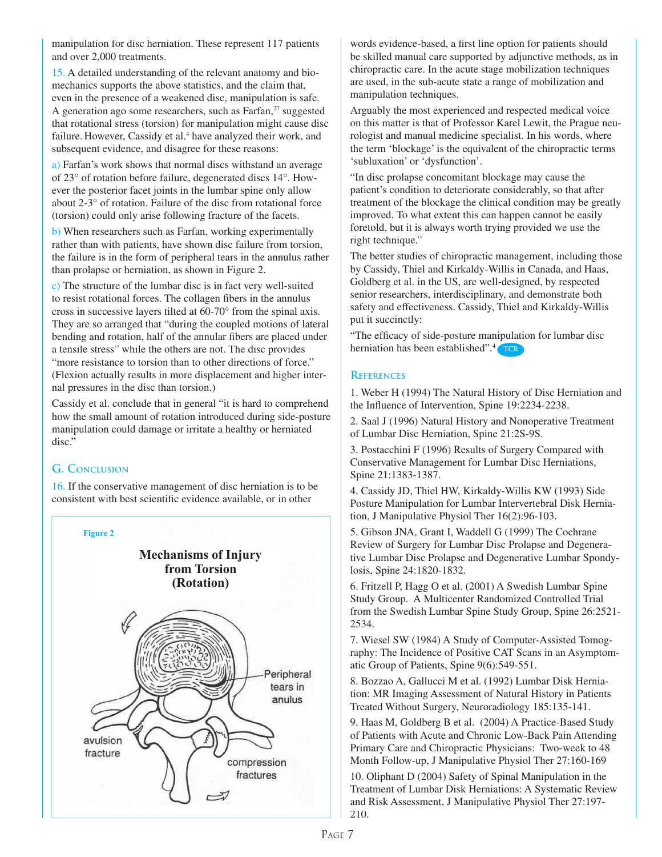manipulation for disc herniation. These represent 117 patients and over 2,000 treatments.

15. A detailed understanding of the relevant anatomy and biomechanics supports the above statistics, and the claim that, even in the presence of a weakened disc, manipulation is safe. A generation ago some researchers, such as Farfan, $27$  suggested that rotational stress (torsion) for manipulation might cause disc failure. However, Cassidy et al.<sup>4</sup> have analyzed their work, and subsequent evidence, and disagree for these reasons:

a) Farfan's work shows that normal discs withstand an average of 23° of rotation before failure, degenerated discs 14°. However the posterior facet joints in the lumbar spine only allow about 2-3° of rotation. Failure of the disc from rotational force (torsion) could only arise following fracture of the facets.

b) When researchers such as Farfan, working experimentally rather than with patients, have shown disc failure from torsion, the failure is in the form of peripheral tears in the annulus rather than prolapse or herniation, as shown in Figure 2.

c) The structure of the lumbar disc is in fact very well-suited to resist rotational forces. The collagen fibers in the annulus cross in successive layers tilted at 60-70° from the spinal axis. They are so arranged that "during the coupled motions of lateral bending and rotation, half of the annular fibers are placed under a tensile stress" while the others are not. The disc provides "more resistance to torsion than to other directions of force." (Flexion actually results in more displacement and higher internal pressures in the disc than torsion.)

Cassidy et al. conclude that in general "it is hard to comprehend how the small amount of rotation introduced during side-posture manipulation could damage or irritate a healthy or herniated disc."

# **G. CONCLUSION**

16. If the conservative management of disc herniation is to be consistent with best scientific evidence available, or in other



words evidence-based, a first line option for patients should be skilled manual care supported by adjunctive methods, as in chiropractic care. In the acute stage mobilization techniques are used, in the sub-acute state a range of mobilization and manipulation techniques.

Arguably the most experienced and respected medical voice on this matter is that of Professor Karel Lewit, the Prague neurologist and manual medicine specialist. In his words, where the term 'blockage' is the equivalent of the chiropractic terms 'subluxation' or 'dysfunction'.

"In disc prolapse concomitant blockage may cause the patient's condition to deteriorate considerably, so that after treatment of the blockage the clinical condition may be greatly improved. To what extent this can happen cannot be easily foretold, but it is always worth trying provided we use the right technique."

The better studies of chiropractic management, including those by Cassidy, Thiel and Kirkaldy-Willis in Canada, and Haas, Goldberg et al. in the US, are well-designed, by respected senior researchers, interdisciplinary, and demonstrate both safety and effectiveness. Cassidy, Thiel and Kirkaldy-Willis put it succinctly:

"The efficacy of side-posture manipulation for lumbar disc herniation has been established".<sup>4</sup> TCR

### **REFERENCES**

1. Weber H (1994) The Natural History of Disc Herniation and the Influence of Intervention, Spine 19:2234-2238.

2. Saal J (1996) Natural History and Nonoperative Treatment of Lumbar Disc Herniation, Spine 21:2S-9S.

3. Postacchini F (1996) Results of Surgery Compared with Conservative Management for Lumbar Disc Herniations, Spine 21:1383-1387.

4. Cassidy JD, Thiel HW, Kirkaldy-Willis KW (1993) Side Posture Manipulation for Lumbar Intervertebral Disk Herniation, J Manipulative Physiol Ther 16(2):96-103.

5. Gibson JNA, Grant I, Waddell G (1999) The Cochrane Review of Surgery for Lumbar Disc Prolapse and Degenerative Lumbar Disc Prolapse and Degenerative Lumbar Spondylosis, Spine 24:1820-1832.

6. Fritzell P, Hagg O et al. (2001) A Swedish Lumbar Spine Study Group. A Multicenter Randomized Controlled Trial from the Swedish Lumbar Spine Study Group, Spine 26:2521- 2534.

7. Wiesel SW (1984) A Study of Computer-Assisted Tomography: The Incidence of Positive CAT Scans in an Asymptomatic Group of Patients, Spine 9(6):549-551.

8. Bozzao A, Gallucci M et al. (1992) Lumbar Disk Herniation: MR Imaging Assessment of Natural History in Patients Treated Without Surgery, Neuroradiology 185:135-141.

9. Haas M, Goldberg B et al. (2004) A Practice-Based Study of Patients with Acute and Chronic Low-Back Pain Attending Primary Care and Chiropractic Physicians: Two-week to 48 Month Follow-up, J Manipulative Physiol Ther 27:160-169

10. Oliphant D (2004) Safety of Spinal Manipulation in the Treatment of Lumbar Disk Herniations: A Systematic Review and Risk Assessment, J Manipulative Physiol Ther 27:197- 210.